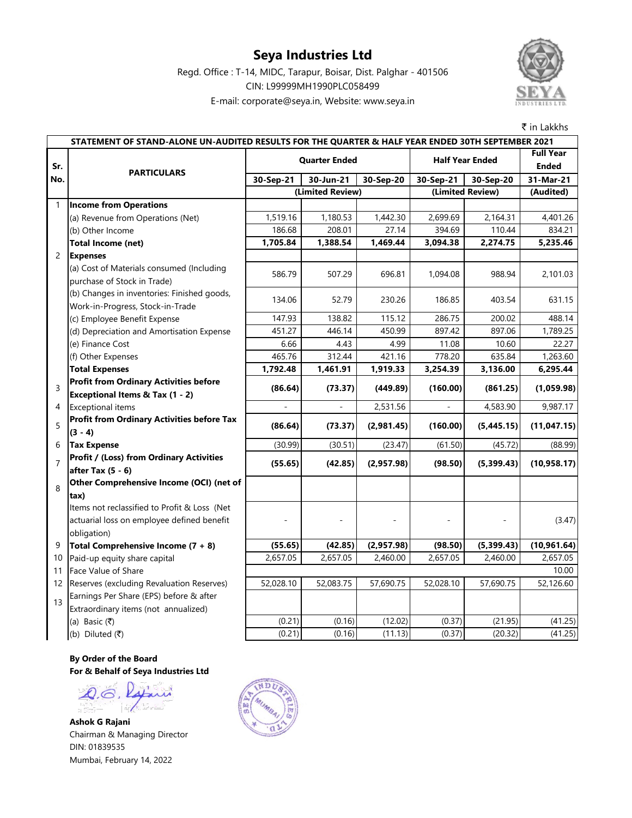### **Seya Industries Ltd**

E-mail: corporate@seya.in, Website: www.seya.in Regd. Office : T-14, MIDC, Tarapur, Boisar, Dist. Palghar - 401506 CIN: L99999MH1990PLC058499



₹ in Lakkhs

**Full Year Ended 30-Sep-21 30-Jun-21 30-Sep-20 30-Sep-21 30-Sep-20 31-Mar-21 (Audited)** 1 **Income from Operations** (a) Revenue from Operations (Net) 1,519.16 1,180.53 1,442.30 2,699.69 2,164.31 4,401.26 (b) Other Income 186.68 186.68 208.01 27.14 394.69 110.44 834.21 **Total Income (net) 1,705.84 1,388.54 1,469.44 3,094.38 2,274.75 5,235.46** 2 **Expenses** (a) Cost of Materials consumed (Including purchase of Stock in Trade) 586.79 507.29 696.81 1,094.08 988.94 2,101.03 (b) Changes in inventories: Finished goods, Work-in-Progress, Stock-in-Trade 134.06 52.79 230.26 186.85 403.54 631.15 (c) Employee Benefit Expense 147.93 | 138.82 | 115.12 | 286.75 | 200.02 | 488.14 (d) Depreciation and Amortisation Expense **451.27** 446.14 450.99 897.42 897.06 1,789.25 (e) Finance Cost 6.66 4.43 4.99 11.08 10.60 22.27 (f) Other Expenses 465.76 312.44 421.16 778.20 635.84 1,263.60 **Total Expenses 1,792.48** 1,461.91 1,919.33 3,254.39 3,136.00 6,295.44 3 **Profit from Ordinary Activities before Exceptional Items & Tax (1 - 2) (86.64) (73.37) (449.89) (160.00) (861.25) (1,059.98)** 4 Exceptional items - - 2,531.56 - 4,583.90 9,987.17 5 **Profit from Ordinary Activities before Tax (3 - 4) (86.64) (73.37) (2,981.45) (160.00) (5,445.15) (11,047.15)** 6 **Tax Expense** (30.99) (30.51) (23.47) (61.50) (45.72) (88.99) 7 **Profit / (Loss) from Ordinary Activities after Tax (5 - 6) (55.65) (42.85) (2,957.98) (98.50) (5,399.43) (10,958.17)** 8 **Other Comprehensive Income (OCI) (net of tax)** Items not reclassified to Profit & Loss (Net actuarial loss on employee defined benefit obligation) - - - - - (3.47) 9 **Total Comprehensive Income (7 + 8) (55.65) (42.85) (2,957.98) (98.50) (5,399.43) (10,961.64)** 10 Paid-up equity share capital 2,657.05 2,657.05 2,460.00 2,657.05 2,460.00 2,657.05 11 Face Value of Share 12 Reserves (excluding Revaluation Reserves) 52,028.10 52,083.75 57,690.75 52,028.10 57,690.75 52,126.60 13 Earnings Per Share (EPS) before & after Extraordinary items (not annualized) (a) Basic (₹) (12.02) (0.21) (0.21) (0.16) (12.02) (0.37) (21.95) (41.25) (b) Diluted ( $\bar{z}$ ) (d) (0.21) (0.21) (0.16) (11.13) (0.37) (20.32) (41.25)  $10.00$ **STATEMENT OF STAND-ALONE UN-AUDITED RESULTS FOR THE QUARTER & HALF YEAR ENDED 30TH SEPTEMBER 2021 Sr. No. PARTICULARS Quarter Ended Half Year Ended (Limited Review) (Limited Review)**

**By Order of the Board For & Behalf of Seya Industries Ltd**

Q.G. Rajni

**Ashok G Rajani** Chairman & Managing Director DIN: 01839535 Mumbai, February 14, 2022

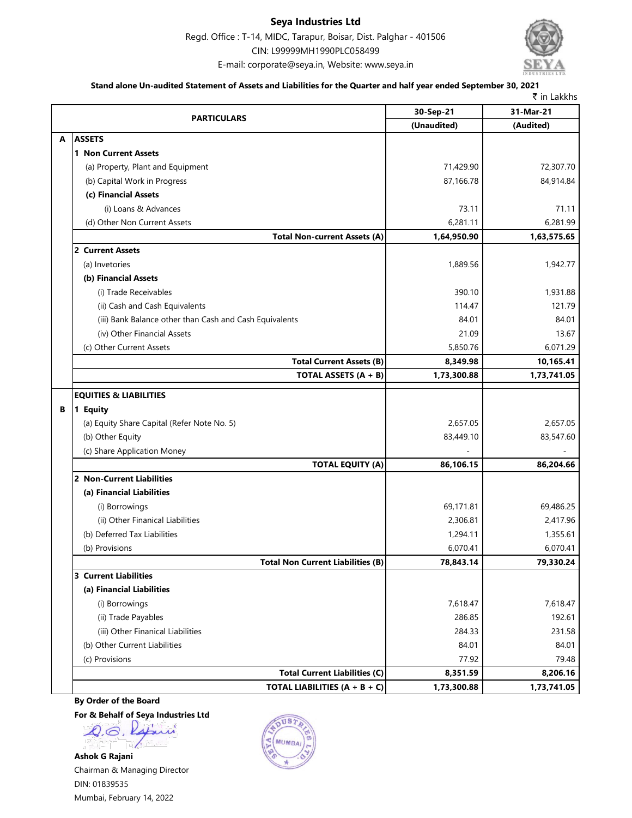#### **Seya Industries Ltd**

Regd. Office : T-14, MIDC, Tarapur, Boisar, Dist. Palghar - 401506 CIN: L99999MH1990PLC058499





#### **Stand alone Un-audited Statement of Assets and Liabilities for the Quarter and half year ended September 30, 2021**

|   |                                                         |             | ₹ in Lakkhs |  |
|---|---------------------------------------------------------|-------------|-------------|--|
|   | <b>PARTICULARS</b>                                      | 30-Sep-21   | 31-Mar-21   |  |
|   |                                                         | (Unaudited) | (Audited)   |  |
| A | <b>ASSETS</b>                                           |             |             |  |
|   | 1 Non Current Assets                                    |             |             |  |
|   | (a) Property, Plant and Equipment                       | 71,429.90   | 72,307.70   |  |
|   | (b) Capital Work in Progress                            | 87,166.78   | 84,914.84   |  |
|   | (c) Financial Assets                                    |             |             |  |
|   | (i) Loans & Advances                                    | 73.11       | 71.11       |  |
|   | (d) Other Non Current Assets                            | 6,281.11    | 6,281.99    |  |
|   | <b>Total Non-current Assets (A)</b>                     | 1,64,950.90 | 1,63,575.65 |  |
|   | 2 Current Assets                                        |             |             |  |
|   | (a) Invetories                                          | 1,889.56    | 1,942.77    |  |
|   | (b) Financial Assets                                    |             |             |  |
|   | (i) Trade Receivables                                   | 390.10      | 1,931.88    |  |
|   | (ii) Cash and Cash Equivalents                          | 114.47      | 121.79      |  |
|   | (iii) Bank Balance other than Cash and Cash Equivalents | 84.01       | 84.01       |  |
|   | (iv) Other Financial Assets                             | 21.09       | 13.67       |  |
|   | (c) Other Current Assets                                | 5,850.76    | 6,071.29    |  |
|   | <b>Total Current Assets (B)</b>                         | 8,349.98    | 10,165.41   |  |
|   | TOTAL ASSETS (A + B)                                    | 1,73,300.88 | 1,73,741.05 |  |
|   | <b>EQUITIES &amp; LIABILITIES</b>                       |             |             |  |
| В | 1 Equity                                                |             |             |  |
|   | (a) Equity Share Capital (Refer Note No. 5)             | 2,657.05    | 2,657.05    |  |
|   | (b) Other Equity                                        | 83,449.10   | 83,547.60   |  |
|   | (c) Share Application Money                             |             |             |  |
|   | <b>TOTAL EQUITY (A)</b>                                 | 86,106.15   | 86,204.66   |  |
|   | 2 Non-Current Liabilities                               |             |             |  |
|   | (a) Financial Liabilities                               |             |             |  |
|   | (i) Borrowings                                          | 69,171.81   | 69,486.25   |  |
|   | (ii) Other Finanical Liabilities                        | 2,306.81    | 2,417.96    |  |
|   | (b) Deferred Tax Liabilities                            | 1,294.11    | 1,355.61    |  |
|   | (b) Provisions                                          | 6,070.41    | 6,070.41    |  |
|   | <b>Total Non Current Liabilities (B)</b>                | 78,843.14   | 79,330.24   |  |
|   | <b>3 Current Liabilities</b>                            |             |             |  |
|   | (a) Financial Liabilities                               |             |             |  |
|   | (i) Borrowings                                          | 7,618.47    | 7,618.47    |  |
|   | (ii) Trade Payables                                     | 286.85      | 192.61      |  |
|   | (iii) Other Finanical Liabilities                       | 284.33      | 231.58      |  |
|   | (b) Other Current Liabilities                           | 84.01       | 84.01       |  |
|   | (c) Provisions                                          | 77.92       | 79.48       |  |
|   | <b>Total Current Liabilities (C)</b>                    | 8,351.59    | 8,206.16    |  |
|   | TOTAL LIABILITIES $(A + B + C)$                         | 1,73,300.88 | 1,73,741.05 |  |
|   |                                                         |             |             |  |

#### **By Order of the Board**

**For & Behalf of Seya Industries Ltd**

Q.G. Rajani

**Ashok G Rajani** Chairman & Managing Director DIN: 01839535 Mumbai, February 14, 2022

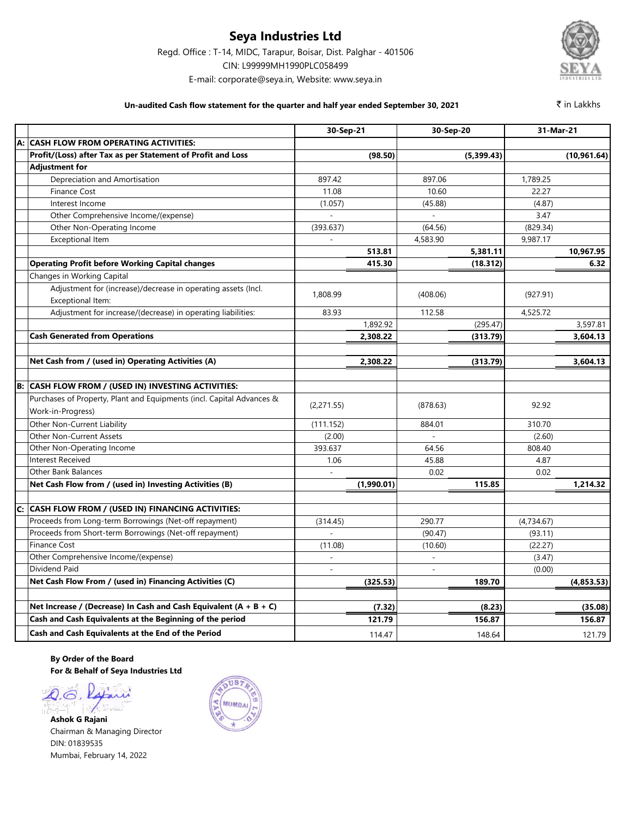### **Seya Industries Ltd**

Regd. Office : T-14, MIDC, Tarapur, Boisar, Dist. Palghar - 401506

CIN: L99999MH1990PLC058499

E-mail: corporate@seya.in, Website: www.seya.in

#### **Un-audited Cash flow statement for the quarter and half year ended September 30, 2021**

₹ in Lakkhs

|    |                                                                       | 30-Sep-21  |            | 30-Sep-20      |            | 31-Mar-21  |              |
|----|-----------------------------------------------------------------------|------------|------------|----------------|------------|------------|--------------|
| A: | <b>CASH FLOW FROM OPERATING ACTIVITIES:</b>                           |            |            |                |            |            |              |
|    | Profit/(Loss) after Tax as per Statement of Profit and Loss           |            | (98.50)    |                | (5,399.43) |            | (10, 961.64) |
|    | <b>Adjustment for</b>                                                 |            |            |                |            |            |              |
|    | Depreciation and Amortisation                                         | 897.42     |            | 897.06         |            | 1,789.25   |              |
|    | <b>Finance Cost</b>                                                   | 11.08      |            | 10.60          |            | 22.27      |              |
|    | Interest Income                                                       | (1.057)    |            | (45.88)        |            | (4.87)     |              |
|    | Other Comprehensive Income/(expense)                                  |            |            |                |            | 3.47       |              |
|    | Other Non-Operating Income                                            | (393.637)  |            | (64.56)        |            | (829.34)   |              |
|    | <b>Exceptional Item</b>                                               |            |            | 4,583.90       |            | 9,987.17   |              |
|    |                                                                       |            | 513.81     |                | 5,381.11   |            | 10,967.95    |
|    | <b>Operating Profit before Working Capital changes</b>                |            | 415.30     |                | (18.312)   |            | 6.32         |
|    | Changes in Working Capital                                            |            |            |                |            |            |              |
|    | Adjustment for (increase)/decrease in operating assets (Incl.         | 1.808.99   |            |                |            |            |              |
|    | Exceptional Item:                                                     |            |            | (408.06)       |            | (927.91)   |              |
|    | Adjustment for increase/(decrease) in operating liabilities:          | 83.93      |            | 112.58         |            | 4,525.72   |              |
|    |                                                                       |            | 1,892.92   |                | (295.47)   |            | 3,597.81     |
|    | <b>Cash Generated from Operations</b>                                 |            | 2,308.22   |                | (313.79)   |            | 3,604.13     |
|    |                                                                       |            |            |                |            |            |              |
|    | Net Cash from / (used in) Operating Activities (A)                    |            | 2,308.22   |                | (313.79)   |            | 3,604.13     |
|    |                                                                       |            |            |                |            |            |              |
| B: | CASH FLOW FROM / (USED IN) INVESTING ACTIVITIES:                      |            |            |                |            |            |              |
|    | Purchases of Property, Plant and Equipments (incl. Capital Advances & |            |            |                |            |            |              |
|    | Work-in-Progress)                                                     | (2,271.55) |            | (878.63)       |            | 92.92      |              |
|    | Other Non-Current Liability                                           | (111.152)  |            | 884.01         |            | 310.70     |              |
|    | Other Non-Current Assets                                              | (2.00)     |            |                |            | (2.60)     |              |
|    | Other Non-Operating Income                                            | 393.637    |            | 64.56          |            | 808.40     |              |
|    | <b>Interest Received</b>                                              | 1.06       |            | 45.88          |            | 4.87       |              |
|    | <b>Other Bank Balances</b>                                            |            |            | 0.02           |            | 0.02       |              |
|    | Net Cash Flow from / (used in) Investing Activities (B)               |            | (1,990.01) |                | 115.85     |            | 1,214.32     |
|    |                                                                       |            |            |                |            |            |              |
| C: | <b>CASH FLOW FROM / (USED IN) FINANCING ACTIVITIES:</b>               |            |            |                |            |            |              |
|    | Proceeds from Long-term Borrowings (Net-off repayment)                | (314.45)   |            | 290.77         |            | (4,734.67) |              |
|    | Proceeds from Short-term Borrowings (Net-off repayment)               |            |            | (90.47)        |            | (93.11)    |              |
|    | <b>Finance Cost</b>                                                   | (11.08)    |            | (10.60)        |            | (22.27)    |              |
|    | Other Comprehensive Income/(expense)                                  |            |            | $\overline{a}$ |            | (3.47)     |              |
|    | Dividend Paid                                                         |            |            |                |            | (0.00)     |              |
|    | Net Cash Flow From / (used in) Financing Activities (C)               |            | (325.53)   |                | 189.70     |            | (4,853.53)   |
|    |                                                                       |            |            |                |            |            |              |
|    | Net Increase / (Decrease) In Cash and Cash Equivalent $(A + B + C)$   |            | (7.32)     |                | (8.23)     |            | (35.08)      |
|    | Cash and Cash Equivalents at the Beginning of the period              |            | 121.79     |                | 156.87     |            | 156.87       |
|    | Cash and Cash Equivalents at the End of the Period                    |            | 114.47     |                | 148.64     |            | 121.79       |

**By Order of the Board For & Behalf of Seya Industries Ltd**

Q.G. Lapini

**Ashok G Rajani** Chairman & Managing Director DIN: 01839535 Mumbai, February 14, 2022

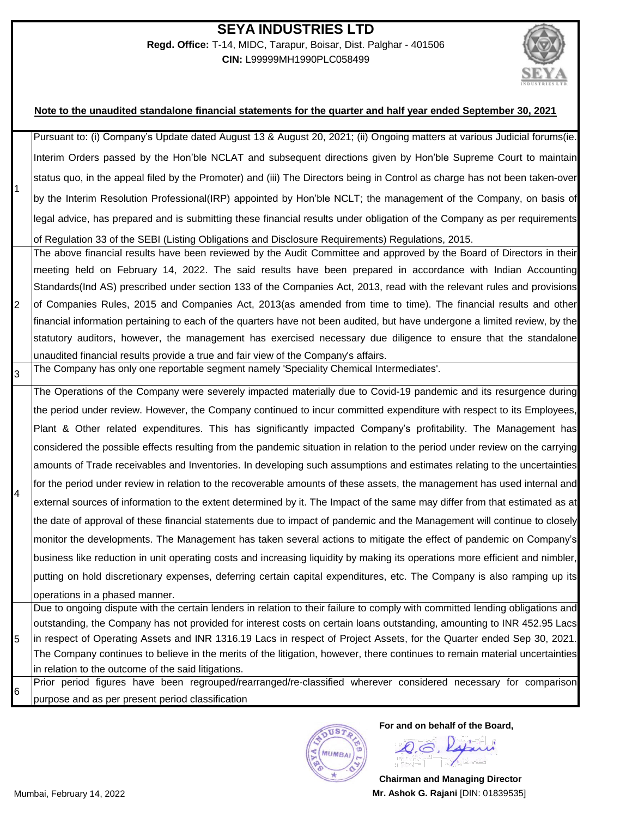#### **SEYA INDUSTRIES LTD Regd. Office:** T-14, MIDC, Tarapur, Boisar, Dist. Palghar - 401506 **CIN:** L99999MH1990PLC058499



#### **Note to the unaudited standalone financial statements for the quarter and half year ended September 30, 2021**

| Pursuant to: (i) Company's Update dated August 13 & August 20, 2021; (ii) Ongoing matters at various Judicial forums(ie.<br>Interim Orders passed by the Hon'ble NCLAT and subsequent directions given by Hon'ble Supreme Court to maintain<br>status quo, in the appeal filed by the Promoter) and (iii) The Directors being in Control as charge has not been taken-over<br>by the Interim Resolution Professional(IRP) appointed by Hon'ble NCLT; the management of the Company, on basis of<br>legal advice, has prepared and is submitting these financial results under obligation of the Company as per requirements<br>of Regulation 33 of the SEBI (Listing Obligations and Disclosure Requirements) Regulations, 2015.<br>The above financial results have been reviewed by the Audit Committee and approved by the Board of Directors in their<br>meeting held on February 14, 2022. The said results have been prepared in accordance with Indian Accounting<br>Standards (Ind AS) prescribed under section 133 of the Companies Act, 2013, read with the relevant rules and provisions<br>of Companies Rules, 2015 and Companies Act, 2013(as amended from time to time). The financial results and other<br>financial information pertaining to each of the quarters have not been audited, but have undergone a limited review, by the<br>statutory auditors, however, the management has exercised necessary due diligence to ensure that the standalone<br>unaudited financial results provide a true and fair view of the Company's affairs.<br>The Company has only one reportable segment namely 'Speciality Chemical Intermediates'.<br>the period under review. However, the Company continued to incur committed expenditure with respect to its Employees,<br>$\overline{4}$<br>business like reduction in unit operating costs and increasing liquidity by making its operations more efficient and nimbler,<br>operations in a phased manner.<br>5<br>in relation to the outcome of the said litigations. |                |                                                  |
|-------------------------------------------------------------------------------------------------------------------------------------------------------------------------------------------------------------------------------------------------------------------------------------------------------------------------------------------------------------------------------------------------------------------------------------------------------------------------------------------------------------------------------------------------------------------------------------------------------------------------------------------------------------------------------------------------------------------------------------------------------------------------------------------------------------------------------------------------------------------------------------------------------------------------------------------------------------------------------------------------------------------------------------------------------------------------------------------------------------------------------------------------------------------------------------------------------------------------------------------------------------------------------------------------------------------------------------------------------------------------------------------------------------------------------------------------------------------------------------------------------------------------------------------------------------------------------------------------------------------------------------------------------------------------------------------------------------------------------------------------------------------------------------------------------------------------------------------------------------------------------------------------------------------------------------------------------------------------------------------------------------------------------------|----------------|--------------------------------------------------|
|                                                                                                                                                                                                                                                                                                                                                                                                                                                                                                                                                                                                                                                                                                                                                                                                                                                                                                                                                                                                                                                                                                                                                                                                                                                                                                                                                                                                                                                                                                                                                                                                                                                                                                                                                                                                                                                                                                                                                                                                                                     |                |                                                  |
|                                                                                                                                                                                                                                                                                                                                                                                                                                                                                                                                                                                                                                                                                                                                                                                                                                                                                                                                                                                                                                                                                                                                                                                                                                                                                                                                                                                                                                                                                                                                                                                                                                                                                                                                                                                                                                                                                                                                                                                                                                     |                |                                                  |
|                                                                                                                                                                                                                                                                                                                                                                                                                                                                                                                                                                                                                                                                                                                                                                                                                                                                                                                                                                                                                                                                                                                                                                                                                                                                                                                                                                                                                                                                                                                                                                                                                                                                                                                                                                                                                                                                                                                                                                                                                                     |                |                                                  |
|                                                                                                                                                                                                                                                                                                                                                                                                                                                                                                                                                                                                                                                                                                                                                                                                                                                                                                                                                                                                                                                                                                                                                                                                                                                                                                                                                                                                                                                                                                                                                                                                                                                                                                                                                                                                                                                                                                                                                                                                                                     |                |                                                  |
|                                                                                                                                                                                                                                                                                                                                                                                                                                                                                                                                                                                                                                                                                                                                                                                                                                                                                                                                                                                                                                                                                                                                                                                                                                                                                                                                                                                                                                                                                                                                                                                                                                                                                                                                                                                                                                                                                                                                                                                                                                     |                |                                                  |
|                                                                                                                                                                                                                                                                                                                                                                                                                                                                                                                                                                                                                                                                                                                                                                                                                                                                                                                                                                                                                                                                                                                                                                                                                                                                                                                                                                                                                                                                                                                                                                                                                                                                                                                                                                                                                                                                                                                                                                                                                                     |                |                                                  |
|                                                                                                                                                                                                                                                                                                                                                                                                                                                                                                                                                                                                                                                                                                                                                                                                                                                                                                                                                                                                                                                                                                                                                                                                                                                                                                                                                                                                                                                                                                                                                                                                                                                                                                                                                                                                                                                                                                                                                                                                                                     |                |                                                  |
|                                                                                                                                                                                                                                                                                                                                                                                                                                                                                                                                                                                                                                                                                                                                                                                                                                                                                                                                                                                                                                                                                                                                                                                                                                                                                                                                                                                                                                                                                                                                                                                                                                                                                                                                                                                                                                                                                                                                                                                                                                     |                |                                                  |
|                                                                                                                                                                                                                                                                                                                                                                                                                                                                                                                                                                                                                                                                                                                                                                                                                                                                                                                                                                                                                                                                                                                                                                                                                                                                                                                                                                                                                                                                                                                                                                                                                                                                                                                                                                                                                                                                                                                                                                                                                                     |                |                                                  |
|                                                                                                                                                                                                                                                                                                                                                                                                                                                                                                                                                                                                                                                                                                                                                                                                                                                                                                                                                                                                                                                                                                                                                                                                                                                                                                                                                                                                                                                                                                                                                                                                                                                                                                                                                                                                                                                                                                                                                                                                                                     | $\overline{2}$ |                                                  |
|                                                                                                                                                                                                                                                                                                                                                                                                                                                                                                                                                                                                                                                                                                                                                                                                                                                                                                                                                                                                                                                                                                                                                                                                                                                                                                                                                                                                                                                                                                                                                                                                                                                                                                                                                                                                                                                                                                                                                                                                                                     |                |                                                  |
| The Operations of the Company were severely impacted materially due to Covid-19 pandemic and its resurgence during                                                                                                                                                                                                                                                                                                                                                                                                                                                                                                                                                                                                                                                                                                                                                                                                                                                                                                                                                                                                                                                                                                                                                                                                                                                                                                                                                                                                                                                                                                                                                                                                                                                                                                                                                                                                                                                                                                                  |                |                                                  |
|                                                                                                                                                                                                                                                                                                                                                                                                                                                                                                                                                                                                                                                                                                                                                                                                                                                                                                                                                                                                                                                                                                                                                                                                                                                                                                                                                                                                                                                                                                                                                                                                                                                                                                                                                                                                                                                                                                                                                                                                                                     |                |                                                  |
|                                                                                                                                                                                                                                                                                                                                                                                                                                                                                                                                                                                                                                                                                                                                                                                                                                                                                                                                                                                                                                                                                                                                                                                                                                                                                                                                                                                                                                                                                                                                                                                                                                                                                                                                                                                                                                                                                                                                                                                                                                     | 3              |                                                  |
| Plant & Other related expenditures. This has significantly impacted Company's profitability. The Management has<br>considered the possible effects resulting from the pandemic situation in relation to the period under review on the carrying<br>amounts of Trade receivables and Inventories. In developing such assumptions and estimates relating to the uncertainties<br>for the period under review in relation to the recoverable amounts of these assets, the management has used internal and<br>external sources of information to the extent determined by it. The Impact of the same may differ from that estimated as at<br>the date of approval of these financial statements due to impact of pandemic and the Management will continue to closely<br>monitor the developments. The Management has taken several actions to mitigate the effect of pandemic on Company's<br>putting on hold discretionary expenses, deferring certain capital expenditures, etc. The Company is also ramping up its<br>Due to ongoing dispute with the certain lenders in relation to their failure to comply with committed lending obligations and<br>outstanding, the Company has not provided for interest costs on certain loans outstanding, amounting to INR 452.95 Lacs<br>in respect of Operating Assets and INR 1316.19 Lacs in respect of Project Assets, for the Quarter ended Sep 30, 2021.<br>The Company continues to believe in the merits of the litigation, however, there continues to remain material uncertainties<br>Prior period figures have been regrouped/rearranged/re-classified wherever considered necessary for comparison                                                                                                                                                                                                                                                                                                                                                                           |                |                                                  |
|                                                                                                                                                                                                                                                                                                                                                                                                                                                                                                                                                                                                                                                                                                                                                                                                                                                                                                                                                                                                                                                                                                                                                                                                                                                                                                                                                                                                                                                                                                                                                                                                                                                                                                                                                                                                                                                                                                                                                                                                                                     |                |                                                  |
|                                                                                                                                                                                                                                                                                                                                                                                                                                                                                                                                                                                                                                                                                                                                                                                                                                                                                                                                                                                                                                                                                                                                                                                                                                                                                                                                                                                                                                                                                                                                                                                                                                                                                                                                                                                                                                                                                                                                                                                                                                     |                |                                                  |
|                                                                                                                                                                                                                                                                                                                                                                                                                                                                                                                                                                                                                                                                                                                                                                                                                                                                                                                                                                                                                                                                                                                                                                                                                                                                                                                                                                                                                                                                                                                                                                                                                                                                                                                                                                                                                                                                                                                                                                                                                                     |                |                                                  |
|                                                                                                                                                                                                                                                                                                                                                                                                                                                                                                                                                                                                                                                                                                                                                                                                                                                                                                                                                                                                                                                                                                                                                                                                                                                                                                                                                                                                                                                                                                                                                                                                                                                                                                                                                                                                                                                                                                                                                                                                                                     |                |                                                  |
|                                                                                                                                                                                                                                                                                                                                                                                                                                                                                                                                                                                                                                                                                                                                                                                                                                                                                                                                                                                                                                                                                                                                                                                                                                                                                                                                                                                                                                                                                                                                                                                                                                                                                                                                                                                                                                                                                                                                                                                                                                     |                |                                                  |
|                                                                                                                                                                                                                                                                                                                                                                                                                                                                                                                                                                                                                                                                                                                                                                                                                                                                                                                                                                                                                                                                                                                                                                                                                                                                                                                                                                                                                                                                                                                                                                                                                                                                                                                                                                                                                                                                                                                                                                                                                                     |                |                                                  |
|                                                                                                                                                                                                                                                                                                                                                                                                                                                                                                                                                                                                                                                                                                                                                                                                                                                                                                                                                                                                                                                                                                                                                                                                                                                                                                                                                                                                                                                                                                                                                                                                                                                                                                                                                                                                                                                                                                                                                                                                                                     |                |                                                  |
|                                                                                                                                                                                                                                                                                                                                                                                                                                                                                                                                                                                                                                                                                                                                                                                                                                                                                                                                                                                                                                                                                                                                                                                                                                                                                                                                                                                                                                                                                                                                                                                                                                                                                                                                                                                                                                                                                                                                                                                                                                     |                |                                                  |
|                                                                                                                                                                                                                                                                                                                                                                                                                                                                                                                                                                                                                                                                                                                                                                                                                                                                                                                                                                                                                                                                                                                                                                                                                                                                                                                                                                                                                                                                                                                                                                                                                                                                                                                                                                                                                                                                                                                                                                                                                                     |                |                                                  |
|                                                                                                                                                                                                                                                                                                                                                                                                                                                                                                                                                                                                                                                                                                                                                                                                                                                                                                                                                                                                                                                                                                                                                                                                                                                                                                                                                                                                                                                                                                                                                                                                                                                                                                                                                                                                                                                                                                                                                                                                                                     |                |                                                  |
|                                                                                                                                                                                                                                                                                                                                                                                                                                                                                                                                                                                                                                                                                                                                                                                                                                                                                                                                                                                                                                                                                                                                                                                                                                                                                                                                                                                                                                                                                                                                                                                                                                                                                                                                                                                                                                                                                                                                                                                                                                     |                |                                                  |
|                                                                                                                                                                                                                                                                                                                                                                                                                                                                                                                                                                                                                                                                                                                                                                                                                                                                                                                                                                                                                                                                                                                                                                                                                                                                                                                                                                                                                                                                                                                                                                                                                                                                                                                                                                                                                                                                                                                                                                                                                                     |                |                                                  |
|                                                                                                                                                                                                                                                                                                                                                                                                                                                                                                                                                                                                                                                                                                                                                                                                                                                                                                                                                                                                                                                                                                                                                                                                                                                                                                                                                                                                                                                                                                                                                                                                                                                                                                                                                                                                                                                                                                                                                                                                                                     |                |                                                  |
|                                                                                                                                                                                                                                                                                                                                                                                                                                                                                                                                                                                                                                                                                                                                                                                                                                                                                                                                                                                                                                                                                                                                                                                                                                                                                                                                                                                                                                                                                                                                                                                                                                                                                                                                                                                                                                                                                                                                                                                                                                     |                |                                                  |
|                                                                                                                                                                                                                                                                                                                                                                                                                                                                                                                                                                                                                                                                                                                                                                                                                                                                                                                                                                                                                                                                                                                                                                                                                                                                                                                                                                                                                                                                                                                                                                                                                                                                                                                                                                                                                                                                                                                                                                                                                                     |                |                                                  |
|                                                                                                                                                                                                                                                                                                                                                                                                                                                                                                                                                                                                                                                                                                                                                                                                                                                                                                                                                                                                                                                                                                                                                                                                                                                                                                                                                                                                                                                                                                                                                                                                                                                                                                                                                                                                                                                                                                                                                                                                                                     |                |                                                  |
|                                                                                                                                                                                                                                                                                                                                                                                                                                                                                                                                                                                                                                                                                                                                                                                                                                                                                                                                                                                                                                                                                                                                                                                                                                                                                                                                                                                                                                                                                                                                                                                                                                                                                                                                                                                                                                                                                                                                                                                                                                     | 6              | purpose and as per present period classification |



**For and on behalf of the Board,**

Q.G. Rajani

**Chairman and Managing Director** Mumbai, February 14, 2022 **Mr. Ashok G. Rajani** [DIN: 01839535]